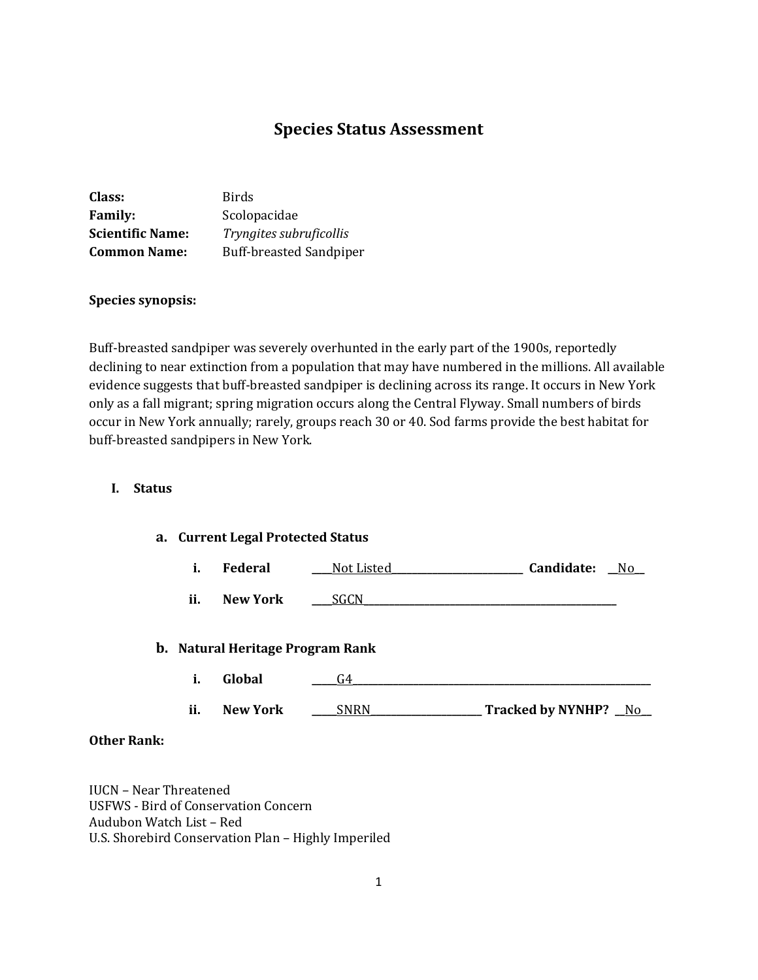# **Species Status Assessment**

| Class:                  | Birds                          |
|-------------------------|--------------------------------|
| <b>Family:</b>          | Scolopacidae                   |
| <b>Scientific Name:</b> | Tryngites subruficollis        |
| <b>Common Name:</b>     | <b>Buff-breasted Sandpiper</b> |

# **Species synopsis:**

Buff-breasted sandpiper was severely overhunted in the early part of the 1900s, reportedly declining to near extinction from a population that may have numbered in the millions. All available evidence suggests that buff-breasted sandpiper is declining across its range. It occurs in New York only as a fall migrant; spring migration occurs along the Central Flyway. Small numbers of birds occur in New York annually; rarely, groups reach 30 or 40. Sod farms provide the best habitat for buff-breasted sandpipers in New York.

#### **I. Status**

# **a. Current Legal Protected Status**

|  | Federal | Not Listed | Candidate: | Nc |
|--|---------|------------|------------|----|
|--|---------|------------|------------|----|

**ii. New York** <u>\_\_\_SGCN</u>

#### **b. Natural Heritage Program Rank**

| л.  | Global          |                          |
|-----|-----------------|--------------------------|
| ii. | <b>New York</b> | <b>Tracked by NYNHP?</b> |

#### **Other Rank:**

IUCN – Near Threatened USFWS - Bird of Conservation Concern Audubon Watch List – Red U.S. Shorebird Conservation Plan – Highly Imperiled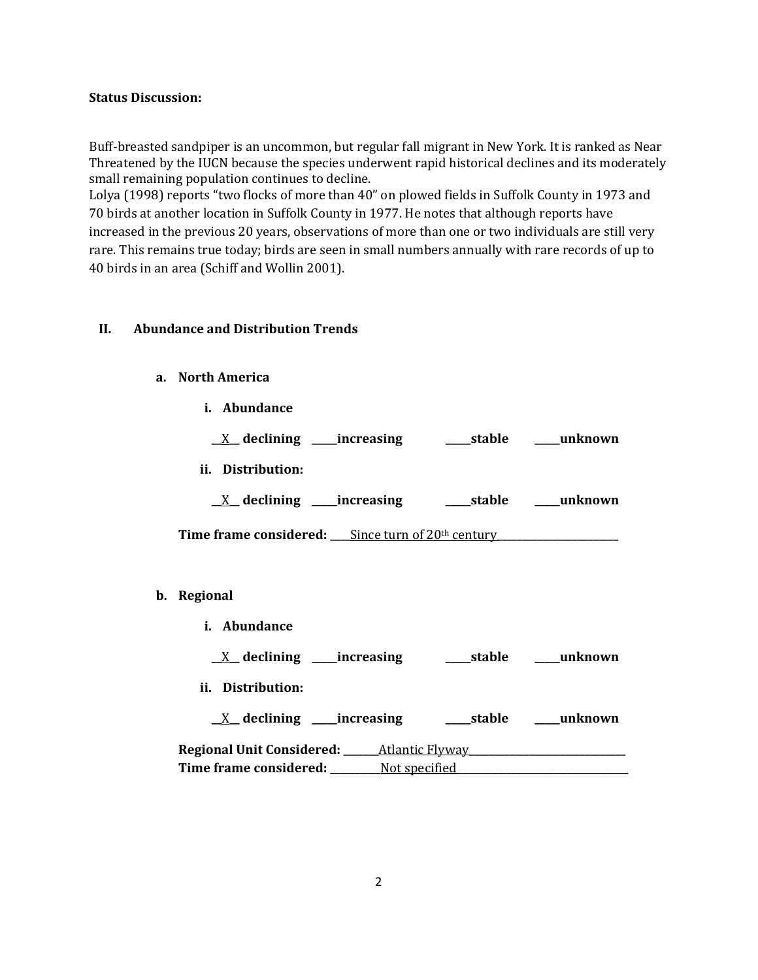#### **Status Discussion:**

Buff-breasted sandpiper is an uncommon, but regular fall migrant in New York. It is ranked as Near Threatened by the IUCN because the species underwent rapid historical declines and its moderately small remaining population continues to decline.

Lolya (1998) reports "two flocks of more than 40" on plowed fields in Suffolk County in 1973 and 70 birds at another location in Suffolk County in 1977. He notes that although reports have increased in the previous 20 years, observations of more than one or two individuals are still very rare. This remains true today; birds are seen in small numbers annually with rare records of up to 40 birds in an area (Schiff and Wollin 2001).

# **II. Abundance and Distribution Trends**

#### **a. North America**

**i. Abundance**

**\_\_**X**\_\_ declining \_\_\_\_\_increasing \_\_\_\_\_stable \_\_\_\_\_unknown ii. Distribution: \_\_**X**\_\_ declining \_\_\_\_\_increasing \_\_\_\_\_stable \_\_\_\_\_unknown**

**Time frame considered:** \_\_\_\_Since turn of 20<sup>th</sup> century

- **b. Regional** 
	- **i. Abundance**

**\_\_**X**\_\_ declining \_\_\_\_\_increasing \_\_\_\_\_stable \_\_\_\_\_unknown**

**ii. Distribution:**

**\_\_**X**\_\_ declining \_\_\_\_\_increasing \_\_\_\_\_stable \_\_\_\_\_unknown Regional Unit Considered: \_\_\_\_\_\_\_**Atlantic Flyway**\_\_\_\_\_\_\_\_\_\_\_\_\_\_\_\_\_\_\_\_\_\_\_\_\_\_\_\_\_\_\_ Time frame considered: \_\_\_\_\_\_\_\_\_\_**Not specified**\_\_\_\_\_\_\_\_\_\_\_\_\_\_\_\_\_\_\_\_\_\_\_\_\_\_\_\_\_\_\_\_\_\_**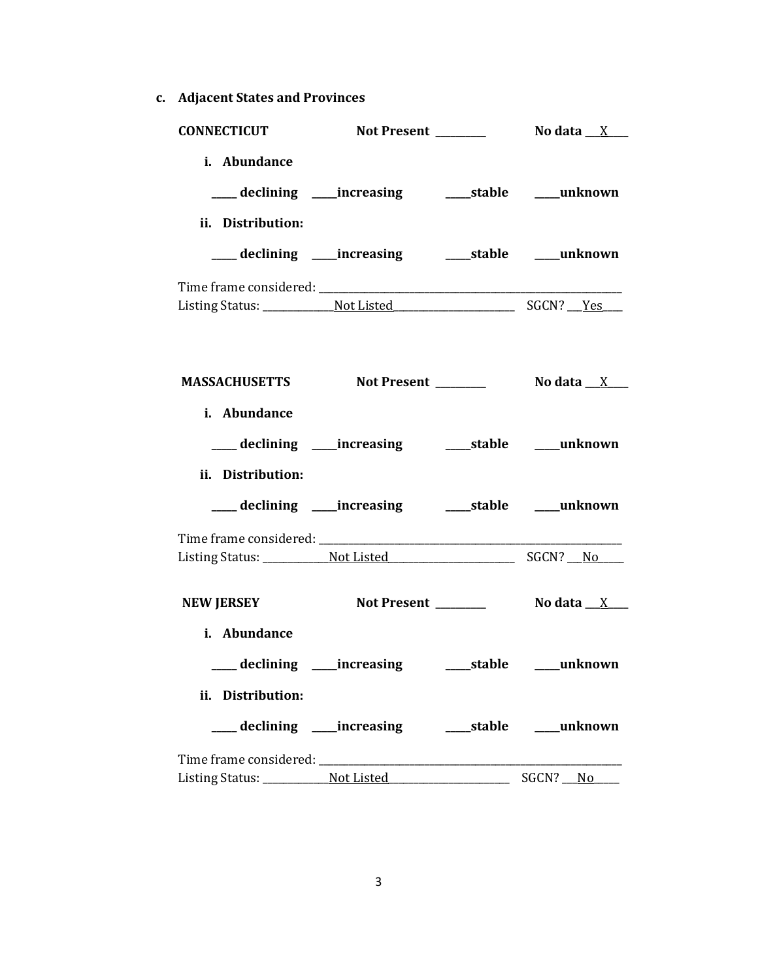**c. Adjacent States and Provinces**

| <b>CONNECTICUT</b>                               |                                                           |  |
|--------------------------------------------------|-----------------------------------------------------------|--|
| i. Abundance                                     | declining ____increasing _______stable _____unknown       |  |
| ii. Distribution:                                |                                                           |  |
|                                                  | ___ declining ____increasing ______stable ____unknown     |  |
|                                                  |                                                           |  |
|                                                  |                                                           |  |
| MASSACHUSETTS Not Present _________ No data _X__ |                                                           |  |
| i. Abundance                                     |                                                           |  |
|                                                  | ___ declining ____ increasing _____ stable ____ unknown   |  |
| ii. Distribution:                                |                                                           |  |
|                                                  | ___ declining ___ increasing ____ stable ___ unknown      |  |
|                                                  |                                                           |  |
|                                                  |                                                           |  |
| <b>NEW JERSEY</b>                                |                                                           |  |
| i. Abundance                                     |                                                           |  |
|                                                  | ___ declining ____ increasing ______ stable _____ unknown |  |
| ii. Distribution:                                |                                                           |  |
|                                                  | ___ declining ____ increasing ______ stable _____ unknown |  |
|                                                  |                                                           |  |
|                                                  |                                                           |  |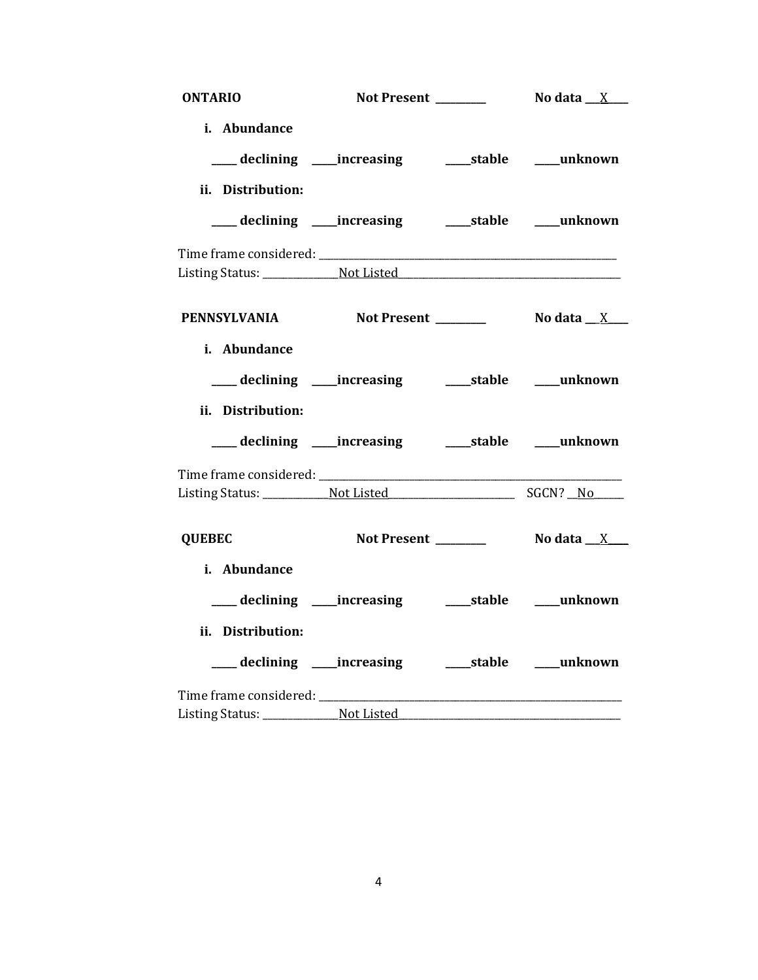| <b>ONTARIO</b>                     | Not Present _______                                        | No data $_{\_\_X\_\_N}$ |
|------------------------------------|------------------------------------------------------------|-------------------------|
| i. Abundance                       |                                                            |                         |
|                                    | ___ declining ____ increasing _____ stable ____ unknown    |                         |
| ii. Distribution:                  |                                                            |                         |
|                                    | ___ declining ____increasing ______stable ____unknown      |                         |
|                                    |                                                            |                         |
|                                    |                                                            |                         |
| PENNSYLVANIA Not Present No data X |                                                            |                         |
| i. Abundance                       |                                                            |                         |
|                                    | ____ declining ____ increasing ______ stable _____ unknown |                         |
| ii. Distribution:                  |                                                            |                         |
|                                    | ___ declining ____increasing ______stable ____unknown      |                         |
|                                    |                                                            |                         |
|                                    |                                                            |                         |
| <b>QUEBEC</b>                      |                                                            |                         |
| i. Abundance                       |                                                            |                         |
|                                    | ___ declining ____increasing ______stable ____unknown      |                         |
| ii. Distribution:                  |                                                            |                         |
|                                    | ___ declining ____ increasing _____ stable ____ unknown    |                         |
|                                    |                                                            |                         |
|                                    |                                                            |                         |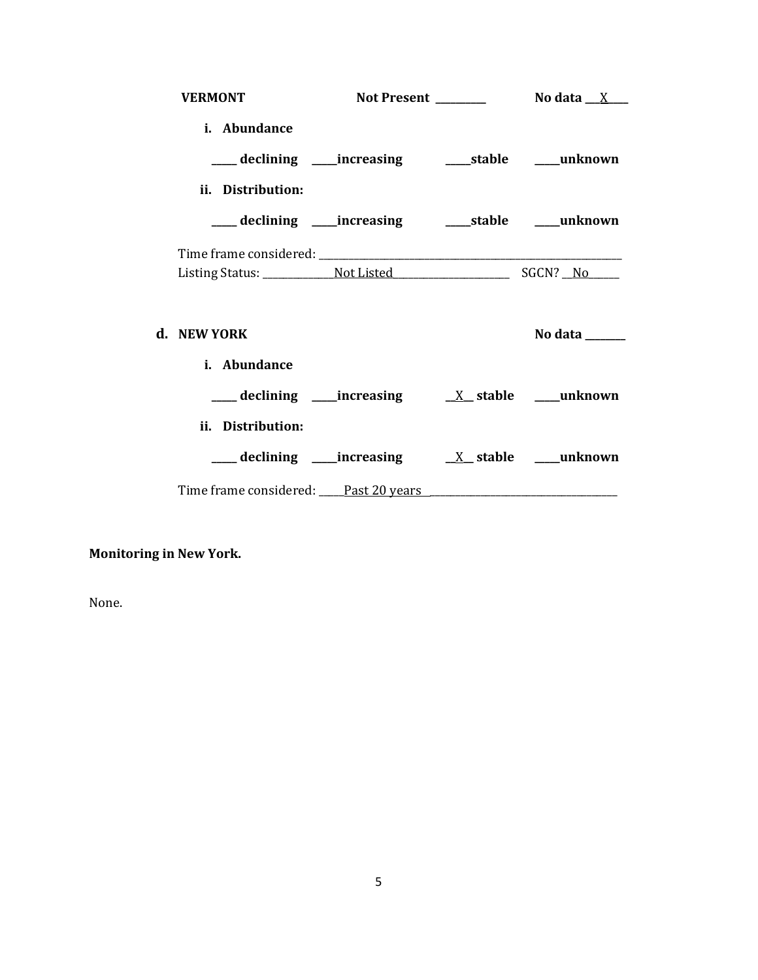| <b>VERMONT</b>                                            |  |                |
|-----------------------------------------------------------|--|----------------|
| i. Abundance                                              |  |                |
| ___ declining ____ increasing ______ stable _____ unknown |  |                |
| ii. Distribution:                                         |  |                |
| ___ declining ____increasing ______stable ____unknown     |  |                |
|                                                           |  |                |
|                                                           |  |                |
| d. NEW YORK                                               |  | No data $\_\_$ |
| i. Abundance                                              |  |                |
|                                                           |  |                |
| ii. Distribution:                                         |  |                |
|                                                           |  |                |
|                                                           |  |                |

# **Monitoring in New York.**

None.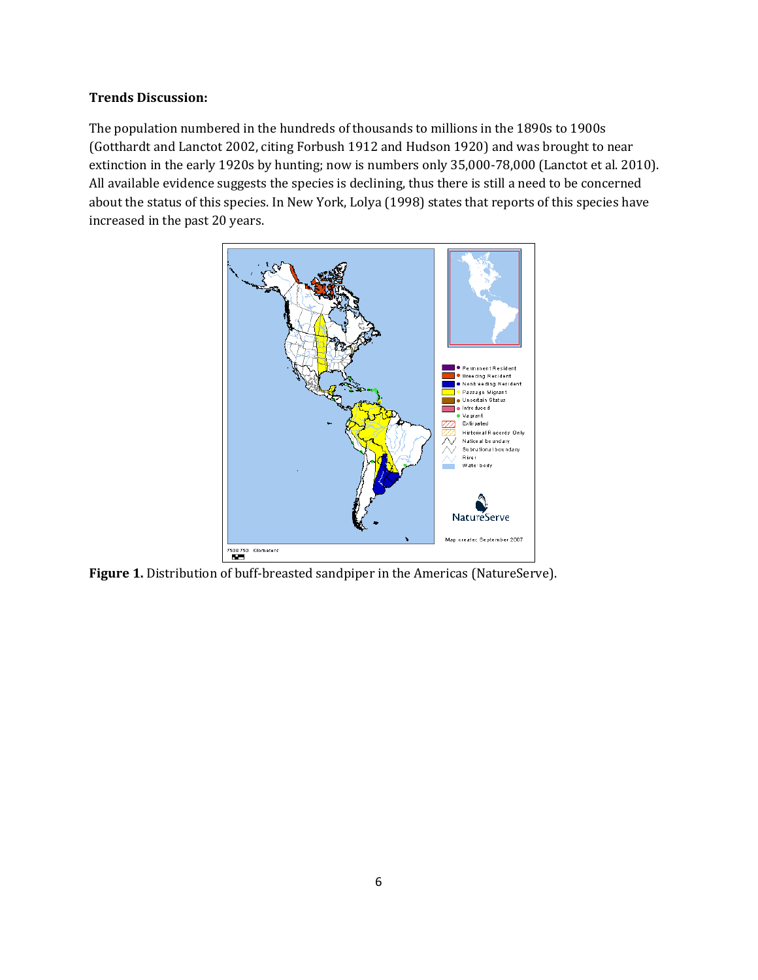# **Trends Discussion:**

The population numbered in the hundreds of thousands to millions in the 1890s to 1900s (Gotthardt and Lanctot 2002, citing Forbush 1912 and Hudson 1920) and was brought to near extinction in the early 1920s by hunting; now is numbers only 35,000-78,000 (Lanctot et al. 2010). All available evidence suggests the species is declining, thus there is still a need to be concerned about the status of this species. In New York, Lolya (1998) states that reports of this species have increased in the past 20 years.



**Figure 1.** Distribution of buff-breasted sandpiper in the Americas (NatureServe).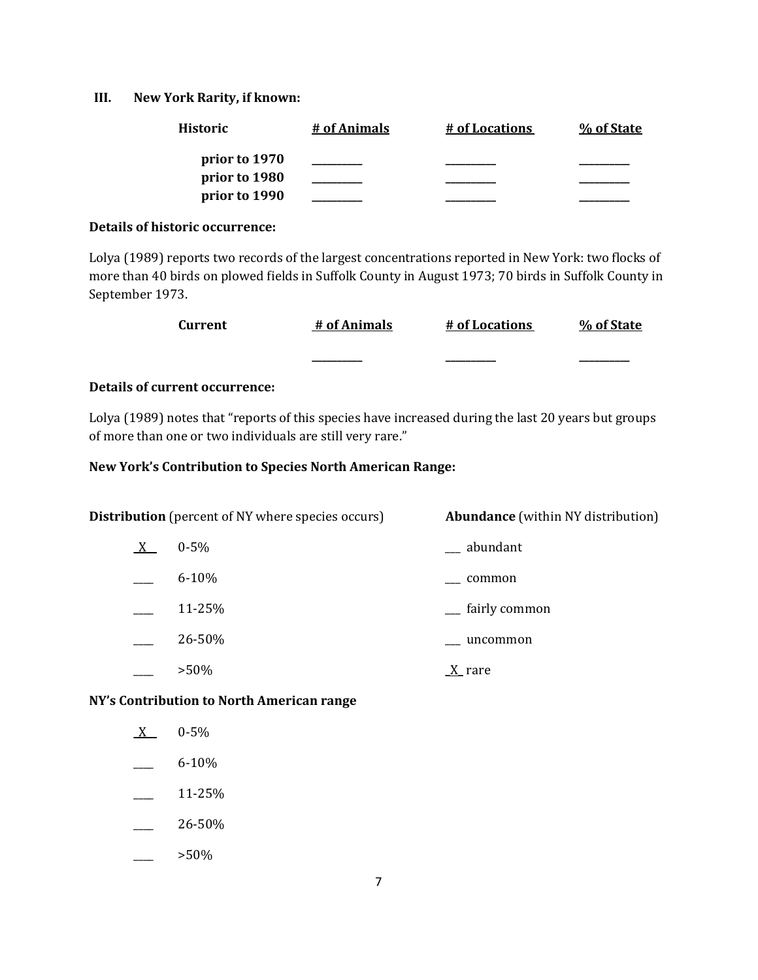#### **III. New York Rarity, if known:**

| <b>Historic</b> | # of Animals | # of Locations | % of State |
|-----------------|--------------|----------------|------------|
| prior to 1970   |              |                |            |
| prior to 1980   |              |                |            |
| prior to 1990   |              |                |            |

#### **Details of historic occurrence:**

Lolya (1989) reports two records of the largest concentrations reported in New York: two flocks of more than 40 birds on plowed fields in Suffolk County in August 1973; 70 birds in Suffolk County in September 1973.

| Current | # of Animals | # of Locations | % of State |
|---------|--------------|----------------|------------|
|         | __________   | _________      | ________   |

# **Details of current occurrence:**

Lolya (1989) notes that "reports of this species have increased during the last 20 years but groups of more than one or two individuals are still very rare."

#### **New York's Contribution to Species North American Range:**

| <b>Distribution</b> (percent of NY where species occurs) |           | <b>Abundance</b> (within NY distribution) |
|----------------------------------------------------------|-----------|-------------------------------------------|
| $X_{-}$                                                  | $0 - 5\%$ | __ abundant                               |
|                                                          | $6 - 10%$ | common                                    |
|                                                          | 11-25%    | __ fairly common                          |
|                                                          | 26-50%    | uncommon                                  |
|                                                          | $>50\%$   | <u>X</u> rare                             |

# **NY's Contribution to North American range**

| 0-5%      |
|-----------|
| $6 - 10%$ |
| 11-25%    |

- $-26 50\%$
- $>50\%$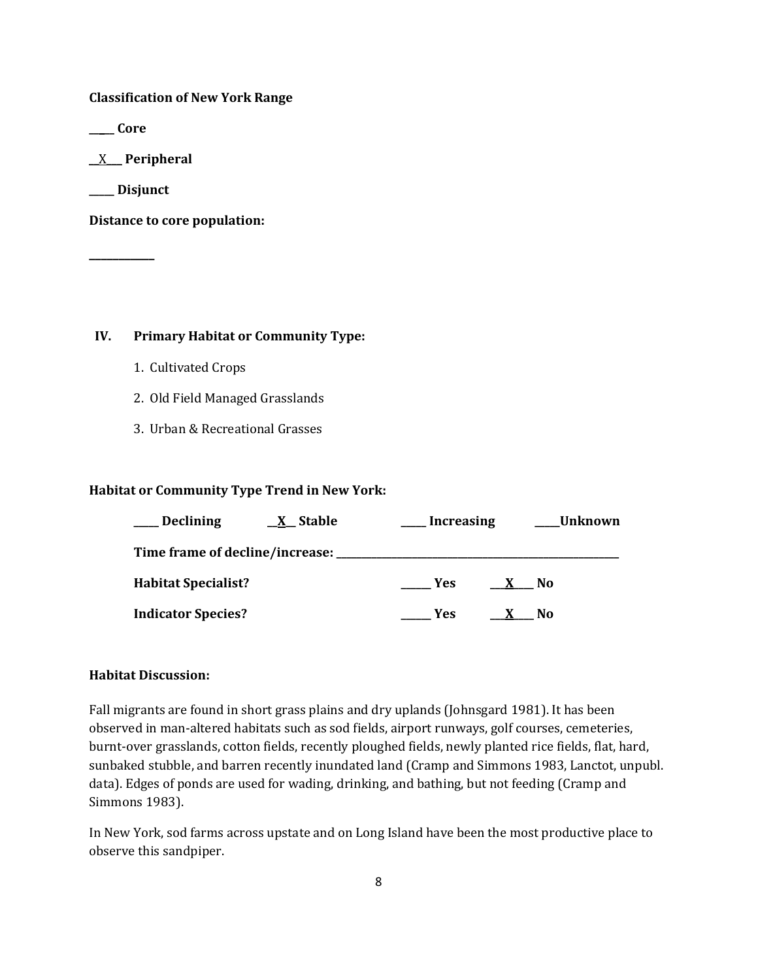**Classification of New York Range**

**\_\_\_\_\_ Core**

\_\_X\_\_\_ **Peripheral**

**\_\_\_\_\_ Disjunct**

**\_\_\_\_\_\_\_\_\_\_\_**

**Distance to core population:**

#### **IV. Primary Habitat or Community Type:**

- 1. Cultivated Crops
- 2. Old Field Managed Grasslands
- 3. Urban & Recreational Grasses

# **Habitat or Community Type Trend in New York:**

| <b>Declining</b><br><b>X</b> Stable | Increasing | Unknown |
|-------------------------------------|------------|---------|
| Time frame of decline/increase:     |            |         |
| <b>Habitat Specialist?</b>          | Yes        | No.     |
| <b>Indicator Species?</b>           | Yes        | No      |

### **Habitat Discussion:**

Fall migrants are found in short grass plains and dry uplands (Johnsgard 1981). It has been observed in man-altered habitats such as sod fields, airport runways, golf courses, cemeteries, burnt-over grasslands, cotton fields, recently ploughed fields, newly planted rice fields, flat, hard, sunbaked stubble, and barren recently inundated land (Cramp and Simmons 1983, Lanctot, unpubl. data). Edges of ponds are used for wading, drinking, and bathing, but not feeding (Cramp and Simmons 1983).

In New York, sod farms across upstate and on Long Island have been the most productive place to observe this sandpiper.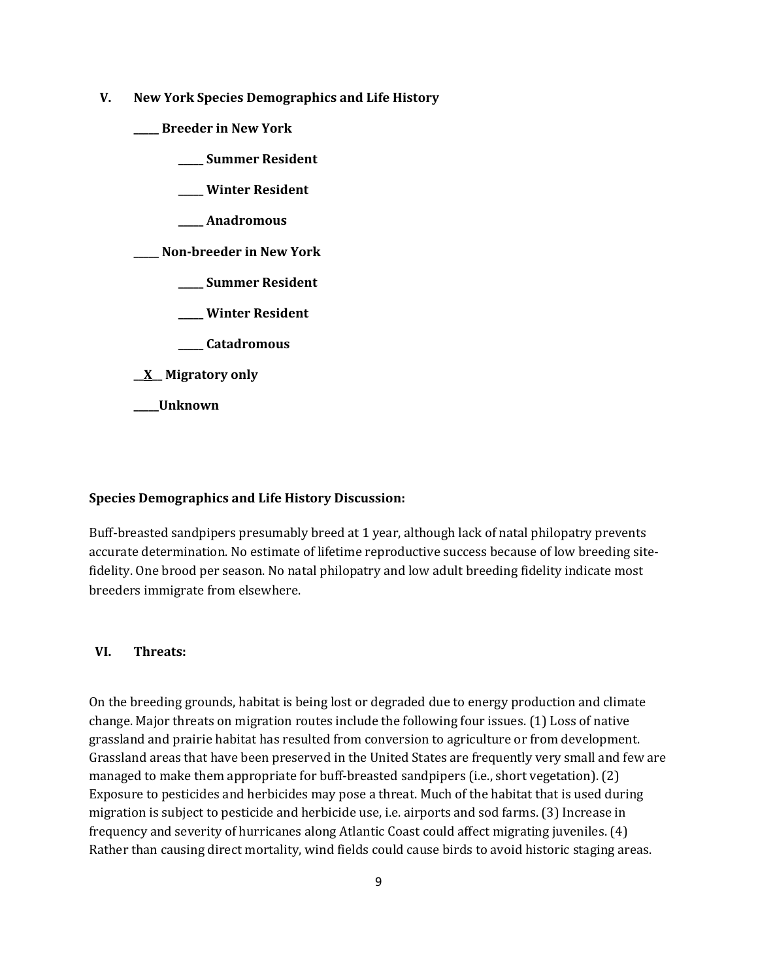- **V. New York Species Demographics and Life History**
	- **\_\_\_\_\_ Breeder in New York**
		- **\_\_\_\_\_ Summer Resident**
		- **\_\_\_\_\_ Winter Resident**
		- **\_\_\_\_\_ Anadromous**

**\_\_\_\_\_ Non-breeder in New York**

- **\_\_\_\_\_ Summer Resident**
- **\_\_\_\_\_ Winter Resident**
- **\_\_\_\_\_ Catadromous**
- **\_\_X\_\_ Migratory only**
- **\_\_\_\_\_Unknown**

#### **Species Demographics and Life History Discussion:**

Buff-breasted sandpipers presumably breed at 1 year, although lack of natal philopatry prevents accurate determination. No estimate of lifetime reproductive success because of low breeding sitefidelity. One brood per season. No natal philopatry and low adult breeding fidelity indicate most breeders immigrate from elsewhere.

#### **VI. Threats:**

On the breeding grounds, habitat is being lost or degraded due to energy production and climate change. Major threats on migration routes include the following four issues. (1) Loss of native grassland and prairie habitat has resulted from conversion to agriculture or from development. Grassland areas that have been preserved in the United States are frequently very small and few are managed to make them appropriate for buff-breasted sandpipers (i.e., short vegetation). (2) Exposure to pesticides and herbicides may pose a threat. Much of the habitat that is used during migration is subject to pesticide and herbicide use, i.e. airports and sod farms. (3) Increase in frequency and severity of hurricanes along Atlantic Coast could affect migrating juveniles. (4) Rather than causing direct mortality, wind fields could cause birds to avoid historic staging areas.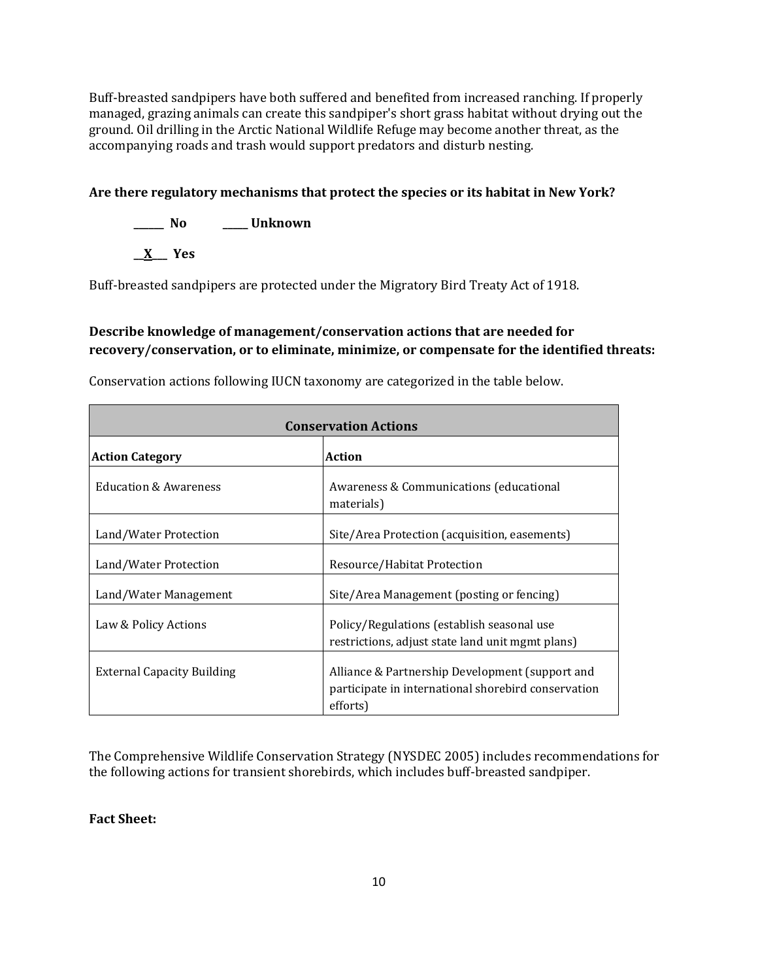Buff-breasted sandpipers have both suffered and benefited from increased ranching. If properly managed, grazing animals can create this sandpiper's short grass habitat without drying out the ground. Oil drilling in the Arctic National Wildlife Refuge may become another threat, as the accompanying roads and trash would support predators and disturb nesting.

# **Are there regulatory mechanisms that protect the species or its habitat in New York?**

**\_\_\_\_\_\_ No \_\_\_\_\_ Unknown**

**\_\_X\_\_\_ Yes**

Buff-breasted sandpipers are protected under the Migratory Bird Treaty Act of 1918.

# **Describe knowledge of management/conservation actions that are needed for recovery/conservation, or to eliminate, minimize, or compensate for the identified threats:**

| <b>Conservation Actions</b>       |                                                                                                                    |  |
|-----------------------------------|--------------------------------------------------------------------------------------------------------------------|--|
| <b>Action Category</b>            | Action                                                                                                             |  |
| <b>Education &amp; Awareness</b>  | Awareness & Communications (educational<br>materials)                                                              |  |
| Land/Water Protection             | Site/Area Protection (acquisition, easements)                                                                      |  |
| Land/Water Protection             | Resource/Habitat Protection                                                                                        |  |
| Land/Water Management             | Site/Area Management (posting or fencing)                                                                          |  |
| Law & Policy Actions              | Policy/Regulations (establish seasonal use<br>restrictions, adjust state land unit mgmt plans)                     |  |
| <b>External Capacity Building</b> | Alliance & Partnership Development (support and<br>participate in international shorebird conservation<br>efforts) |  |

Conservation actions following IUCN taxonomy are categorized in the table below.

The Comprehensive Wildlife Conservation Strategy (NYSDEC 2005) includes recommendations for the following actions for transient shorebirds, which includes buff-breasted sandpiper.

**Fact Sheet:**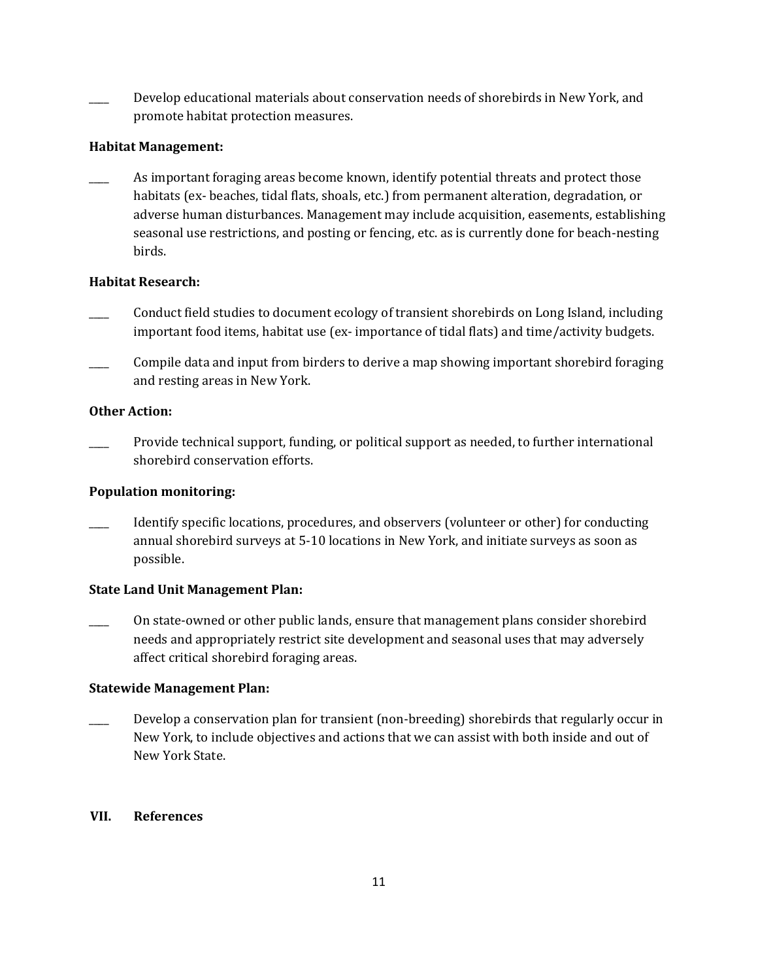Develop educational materials about conservation needs of shorebirds in New York, and promote habitat protection measures.

# **Habitat Management:**

As important foraging areas become known, identify potential threats and protect those habitats (ex- beaches, tidal flats, shoals, etc.) from permanent alteration, degradation, or adverse human disturbances. Management may include acquisition, easements, establishing seasonal use restrictions, and posting or fencing, etc. as is currently done for beach-nesting birds.

# **Habitat Research:**

- \_\_\_\_ Conduct field studies to document ecology of transient shorebirds on Long Island, including important food items, habitat use (ex- importance of tidal flats) and time/activity budgets.
- \_\_\_\_ Compile data and input from birders to derive a map showing important shorebird foraging and resting areas in New York.

# **Other Action:**

Provide technical support, funding, or political support as needed, to further international shorebird conservation efforts.

# **Population monitoring:**

Identify specific locations, procedures, and observers (volunteer or other) for conducting annual shorebird surveys at 5-10 locations in New York, and initiate surveys as soon as possible.

# **State Land Unit Management Plan:**

\_\_\_\_ On state-owned or other public lands, ensure that management plans consider shorebird needs and appropriately restrict site development and seasonal uses that may adversely affect critical shorebird foraging areas.

# **Statewide Management Plan:**

Develop a conservation plan for transient (non-breeding) shorebirds that regularly occur in New York, to include objectives and actions that we can assist with both inside and out of New York State.

# **VII. References**